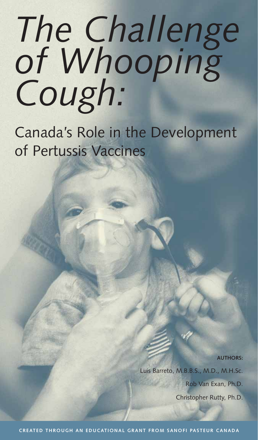# *The Challenge of Whooping Cough:*

Canada's Role in the Development of Pertussis Vaccines

> **AUTHORS:**  Luis Barreto, M.B.B.S., M.D., M.H.Sc. Rob Van Exan, Ph.D. Christopher Rutty, Ph.D.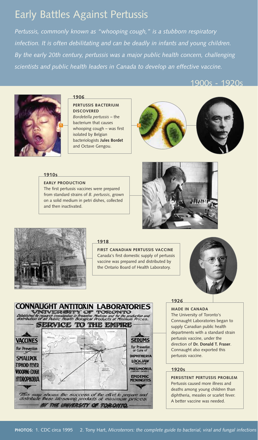# Early Battles Against Pertussis

*Pertussis, commonly known as "whooping cough," is a stubborn respiratory* infection. It is often debilitating and can be deadly in infants and young children. *By the early 20th century, pertussis was a major public health concern, challenging scientists and public health leaders in Canada to develop an effective vaccine.*

#### 1900s - 1920s



#### **1906**

#### **PERTUSSIS BACTERIUM DISCOVERED** *Bordetella pertussis* – the bacterium that causes

whooping cough – was first **1 2**isolated by Belgian bacteriologists **Jules Bordet** and Octave Gengou.



#### **1910s**

## **EARLY PRODUCTION**

The first pertussis vaccines were prepared from standard strains of *B. pertussis*, grown on a solid medium in petri dishes, collected and then inactivated.





#### **1918**

**FIRST CANADIAN PERTUSSIS VACCINE** Canada's first domestic supply of pertussis vaccine was prepared and distributed by the Ontario Board of Health Laboratory.





#### **1926**

**MADE IN CANADA**

The University of Toronto's Connaught Laboratories began to supply Canadian public health departments with a standard strain pertussis vaccine, under the direction of **Dr. Donald T. Fraser**. Connaught also exported this pertussis vaccine.

#### **1920s**

**PERSISTENT PERTUSSIS PROBLEM** Pertussis caused more illness and deaths among young children than diphtheria, measles or scarlet fever. A better vaccine was needed.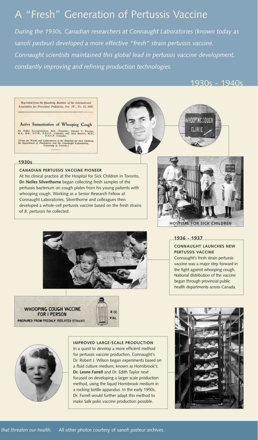# A "Fresh" Generation of Pertussis Vaccine

*During the 1930s, Canadian researchers at Connaught Laboratories (known today as sanofi pasteur) developed a more effective "fresh" strain pertussis vaccine. Connaught scientists maintained this global lead in pertussis vaccine development, constantly improving and refining production technologies.*

### 1930s - 1940s







#### **1930s**

#### **CANADIAN PERTUSSIS VACCINE PIONEER**

At his clinical practice at the Hospital for Sick Children in Toronto, **Dr. Nelles Silverthorne** began collecting fresh samples of the pertussis bacterium on cough plates from his young patients with whooping cough. Working as a Senior Research Fellow at Connaught Laboratories, Silverthorne and colleagues then developed a whole-cell pertussis vaccine based on the fresh strains of *B. pertussis* he collected.



**CONNAUGHT LAUNCHES NEW**

Connaught's fresh strain pertussis vaccine was a major step forward in the fight against whooping cough. National distribution of the vaccine began through provincial public health departments across Canada.

**PERTUSSIS VACCINE**

**1936 - 1937**









#### **IMPROVED LARGE-SCALE PRODUCTION**

In a quest to develop a more efficient method for pertussis vaccine production, Connaught's Dr. Robert J. Wilson began experiments based on a fluid culture medium, known as Hornibrook's. **Dr. Leone Farrell** and Dr. Edith Taylor next focused on developing a larger scale production method, using the liquid Hornibrook medium in a rocking bottle apparatus. In the early 1950s, Dr. Farrell would further adapt this method to make Salk polio vaccine production possible.

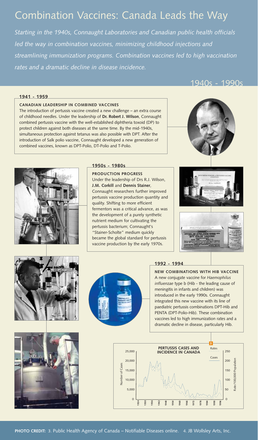## Combination Vaccines: Canada Leads the Way

*Starting in the 1940s, Connaught Laboratories and Canadian public health officials led the way in combination vaccines, minimizing childhood injections and streamlining immunization programs. Combination vaccines led to high vaccination rates and a dramatic decline in disease incidence.* 

1940s - 1990s

#### **1941 - 1959**

#### **CANADIAN LEADERSHIP IN COMBINED VACCINES**

The introduction of pertussis vaccine created a new challenge – an extra course of childhood needles. Under the leadership of **Dr. Robert J. Wilson**, Connaught combined pertussis vaccine with the well-established diphtheria toxoid (DP) to protect children against both diseases at the same time. By the mid-1940s, simultaneous protection against tetanus was also possible with DPT. After the introduction of Salk polio vaccine, Connaught developed a new generation of combined vaccines, known as DPT-Polio, DT-Polio and T-Polio.



#### **1950s - 1980s**

**PRODUCTION PROGRESS** Under the leadership of Drs R.J. Wilson, **J.M. Corkill** and **Dennis Stainer**, Connaught researchers further improved pertussis vaccine production quantity and quality. Shifting to more efficient fermentors was a critical advance, as was the development of a purely synthetic nutrient medium for cultivating the pertussis bacterium; Connaught's "Stainer-Scholte" medium quickly became the global standard for pertussis vaccine production by the early 1970s.













#### **1992 - 1994**

**NEW COMBINATIONS WITH HIB VACCINE** A new conjugate vaccine for *Haemophilus influenzae* type b (Hib - the leading cause of meningitis in infants and children) was introduced in the early 1990s. Connaught integrated this new vaccine with its line of paediatric pertussis combinations DPT-Hib and PENTA (DPT-Polio-Hib). These combination vaccines led to high immunization rates and a dramatic decline in disease, particularly Hib.

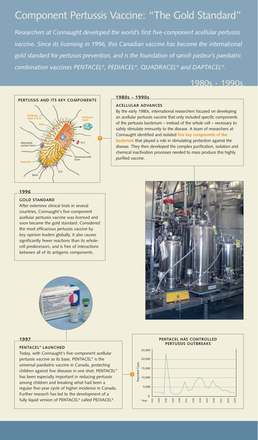## Component Pertussis Vaccine: "The Gold Standard"

*Researchers at Connaught developed the world's first five-component acellular pertussis vaccine. Since its licensing in 1996, this Canadian vaccine has become the international gold standard for pertussis prevention, and is the foundation of sanofi pasteur's paediatric combination vaccines PENTACEL®, PEDIACEL®, QUADRACEL® and DAPTACEL®.*

#### 1980s - 1990s



#### **1980s - 1990s**

#### **ACELLULAR ADVANCES**

By the early 1980s, international researchers focused on developing an acellular pertussis vaccine that only included specific components of the pertussis bacterium – instead of the whole cell – necessary to safely stimulate immunity to the disease. A team of researchers at Connaught identified and isolated **five key components of the bacterium** that played a role in stimulating protection against the disease. They then developed the complex purification, isolation and chemical inactivation processes needed to mass produce this highly purified vaccine.

#### **1996**

#### **GOLD STANDARD**

After extensive clinical trials in several countries, Connaught's five-component acellular pertussis vaccine was licensed and soon became the gold standard. Considered the most efficacious pertussis vaccine by key opinion leaders globally, it also causes significantly fewer reactions than its wholecell predecessors, and is free of interactions between all of its antigenic components.



#### **1997**

#### **PENTACEL® LAUNCHED**

Today, with Connaught's five-component acellular pertussis vaccine as its base, PENTACEL® is the universal paediatric vaccine in Canada, protecting children against five diseases in one shot. PENTACEL® has been especially important in reducing pertussis among children and breaking what had been a regular five-year cycle of higher incidence in Canada. Further research has led to the development of a fully liquid version of PENTACEL® called PEDIACEL®.